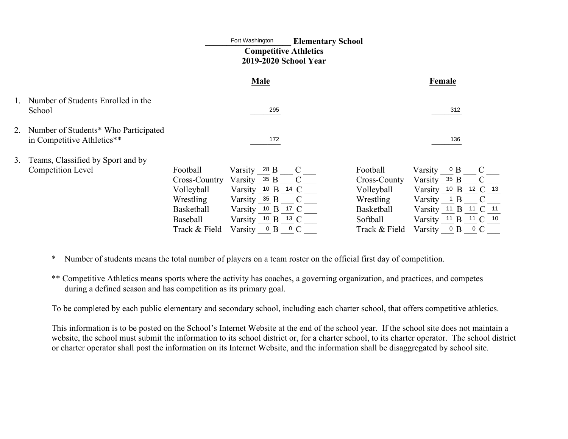# Fort Washington **Elementary School Competitive Athletics 2019-2020 School Year**

|    | Fort Washington<br><b>Elementary School</b><br><b>Competitive Athletics</b><br>2019-2020 School Year |                                                                                                        |                                                                                                                                          |             |                                                                                                       |                                                                                                                                                       |     |                                 |  |
|----|------------------------------------------------------------------------------------------------------|--------------------------------------------------------------------------------------------------------|------------------------------------------------------------------------------------------------------------------------------------------|-------------|-------------------------------------------------------------------------------------------------------|-------------------------------------------------------------------------------------------------------------------------------------------------------|-----|---------------------------------|--|
|    |                                                                                                      | <b>Male</b>                                                                                            |                                                                                                                                          |             | Female                                                                                                |                                                                                                                                                       |     |                                 |  |
|    | Number of Students Enrolled in the<br>School                                                         |                                                                                                        | 295                                                                                                                                      |             |                                                                                                       |                                                                                                                                                       | 312 |                                 |  |
| 2. | Number of Students* Who Participated<br>in Competitive Athletics**                                   |                                                                                                        | 172                                                                                                                                      |             |                                                                                                       |                                                                                                                                                       | 136 |                                 |  |
| 3. | Teams, Classified by Sport and by                                                                    |                                                                                                        |                                                                                                                                          |             |                                                                                                       |                                                                                                                                                       |     |                                 |  |
|    | <b>Competition Level</b>                                                                             | Football<br>Cross-Country<br>Volleyball<br>Wrestling<br><b>Basketball</b><br>Baseball<br>Track & Field | Varsity 28 B<br>Varsity $35 B$ C<br>Varsity 10 B 14 C<br>Varsity $35 B$ C<br>Varsity 10 B 17 C<br>Varsity 10 B 13 C<br>Varsity $0 B 0 C$ | $\mathbf C$ | Football<br>Cross-County<br>Volleyball<br>Wrestling<br><b>Basketball</b><br>Softball<br>Track & Field | Varsity $0 B$<br>Varsity 35 B<br>Varsity 10 B 12 C 13<br>Varsity $\frac{1}{1}$ B<br>Varsity 11 B 11 C 11<br>Varsity 11 B 11 C 10<br>Varsity $0 B 0 C$ |     | $\mathcal{C}$<br>$\overline{C}$ |  |

\* Number of students means the total number of players on a team roster on the official first day of competition.

\*\* Competitive Athletics means sports where the activity has coaches, a governing organization, and practices, and competes during a defined season and has competition as its primary goal.

To be completed by each public elementary and secondary school, including each charter school, that offers competitive athletics.

This information is to be posted on the School's Internet Website at the end of the school year. If the school site does not maintain a website, the school must submit the information to its school district or, for a charter school, to its charter operator. The school district or charter operator shall post the information on its Internet Website, and the information shall be disaggregated by school site.